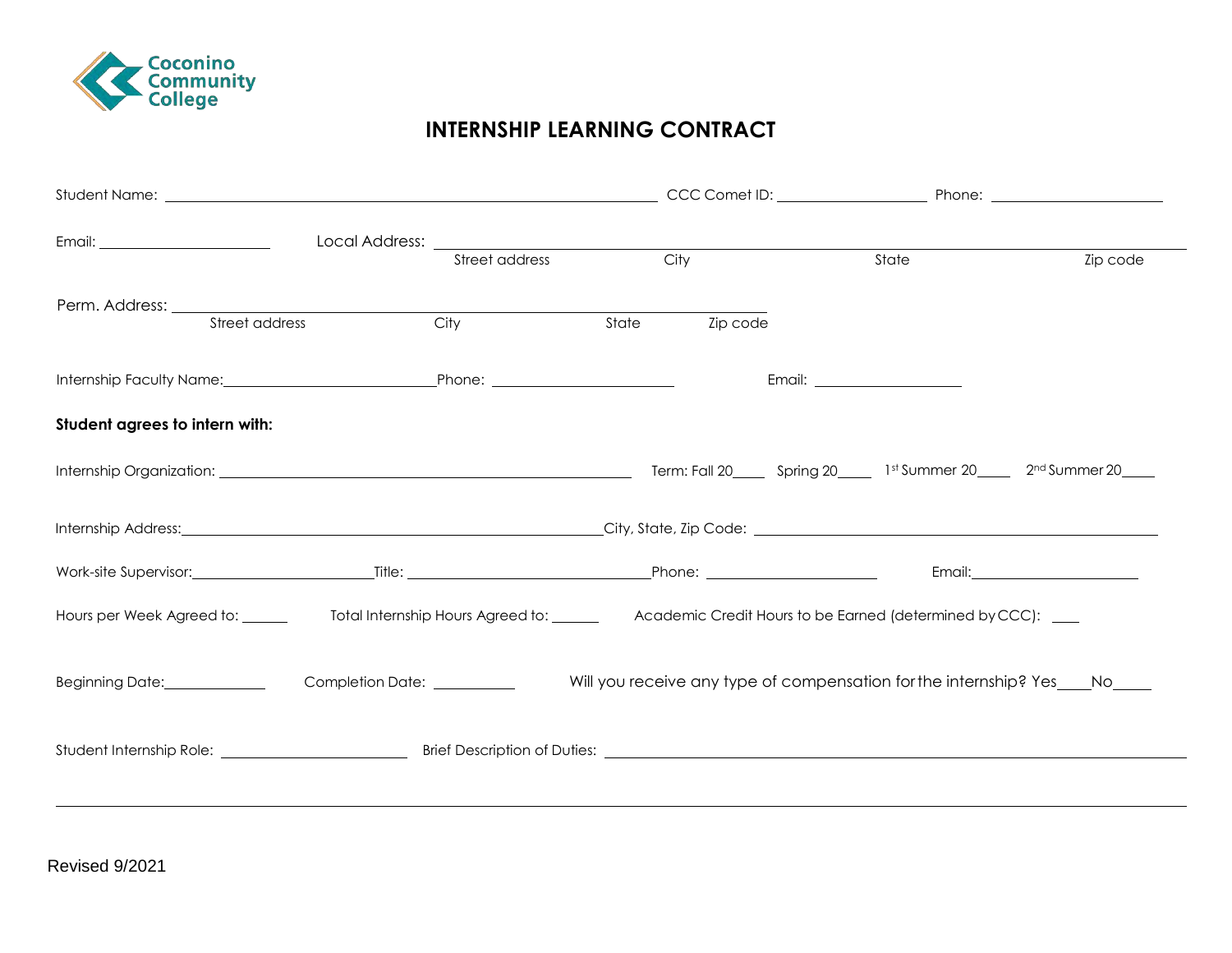

## **INTERNSHIP LEARNING CONTRACT**

|                                                                                                                                        |      | Street address | City           | State                                                                       | Zip code                                |
|----------------------------------------------------------------------------------------------------------------------------------------|------|----------------|----------------|-----------------------------------------------------------------------------|-----------------------------------------|
|                                                                                                                                        |      |                |                |                                                                             |                                         |
| Street address                                                                                                                         | City |                | State Zip code |                                                                             |                                         |
|                                                                                                                                        |      |                |                | Email: <u>_______________________</u>                                       |                                         |
| Student agrees to intern with:                                                                                                         |      |                |                |                                                                             |                                         |
|                                                                                                                                        |      |                |                |                                                                             |                                         |
| Internship Address: City, State, Zip Code: City, State Code: City, State Code: City, State Code: City, State Address:                  |      |                |                |                                                                             |                                         |
|                                                                                                                                        |      |                |                |                                                                             | Email: <u>_________________________</u> |
| Hours per Week Agreed to: _______ Total Internship Hours Agreed to: ______ Academic Credit Hours to be Earned (determined by CCC): ___ |      |                |                |                                                                             |                                         |
| Beginning Date: Completion Date: Completion Date:                                                                                      |      |                |                | Will you receive any type of compensation for the internship? Yes____No____ |                                         |
|                                                                                                                                        |      |                |                |                                                                             |                                         |
|                                                                                                                                        |      |                |                |                                                                             |                                         |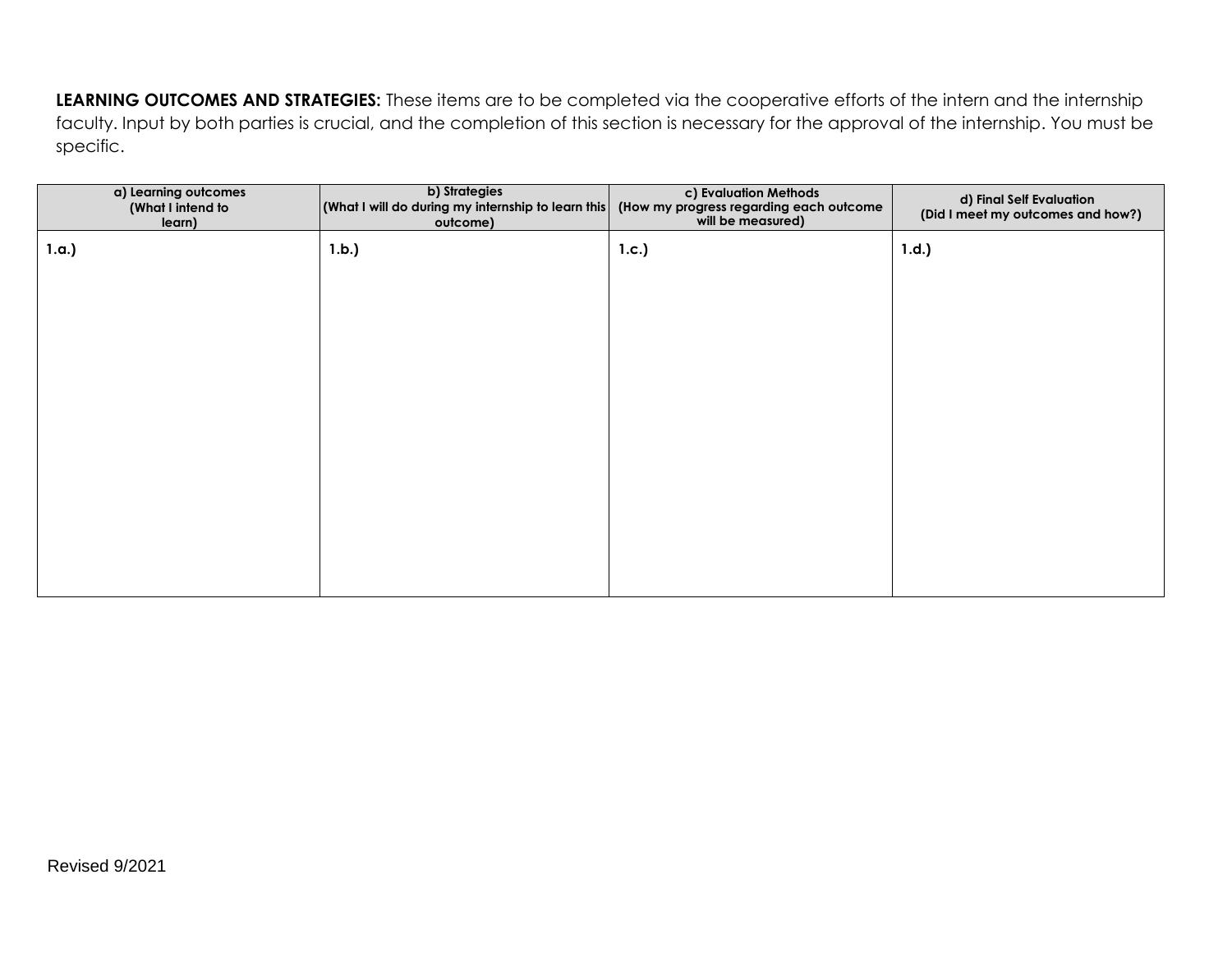**LEARNING OUTCOMES AND STRATEGIES:** These items are to be completed via the cooperative efforts of the intern and the internship faculty. Input by both parties is crucial, and the completion of this section is necessary for the approval of the internship. You must be specific.

| a) Learning outcomes<br>(What I intend to<br>learn) | b) Strategies<br>$\vert$ (What I will do during my internship to learn this $\vert$<br>outcome) | c) Evaluation Methods<br>(How my progress regarding each outcome<br>will be measured) | d) Final Self Evaluation<br>(Did I meet my outcomes and how?) |
|-----------------------------------------------------|-------------------------------------------------------------------------------------------------|---------------------------------------------------------------------------------------|---------------------------------------------------------------|
| 1.a.)                                               | 1.b.)                                                                                           | 1.c.)                                                                                 | 1.d.                                                          |
|                                                     |                                                                                                 |                                                                                       |                                                               |
|                                                     |                                                                                                 |                                                                                       |                                                               |
|                                                     |                                                                                                 |                                                                                       |                                                               |
|                                                     |                                                                                                 |                                                                                       |                                                               |
|                                                     |                                                                                                 |                                                                                       |                                                               |
|                                                     |                                                                                                 |                                                                                       |                                                               |
|                                                     |                                                                                                 |                                                                                       |                                                               |
|                                                     |                                                                                                 |                                                                                       |                                                               |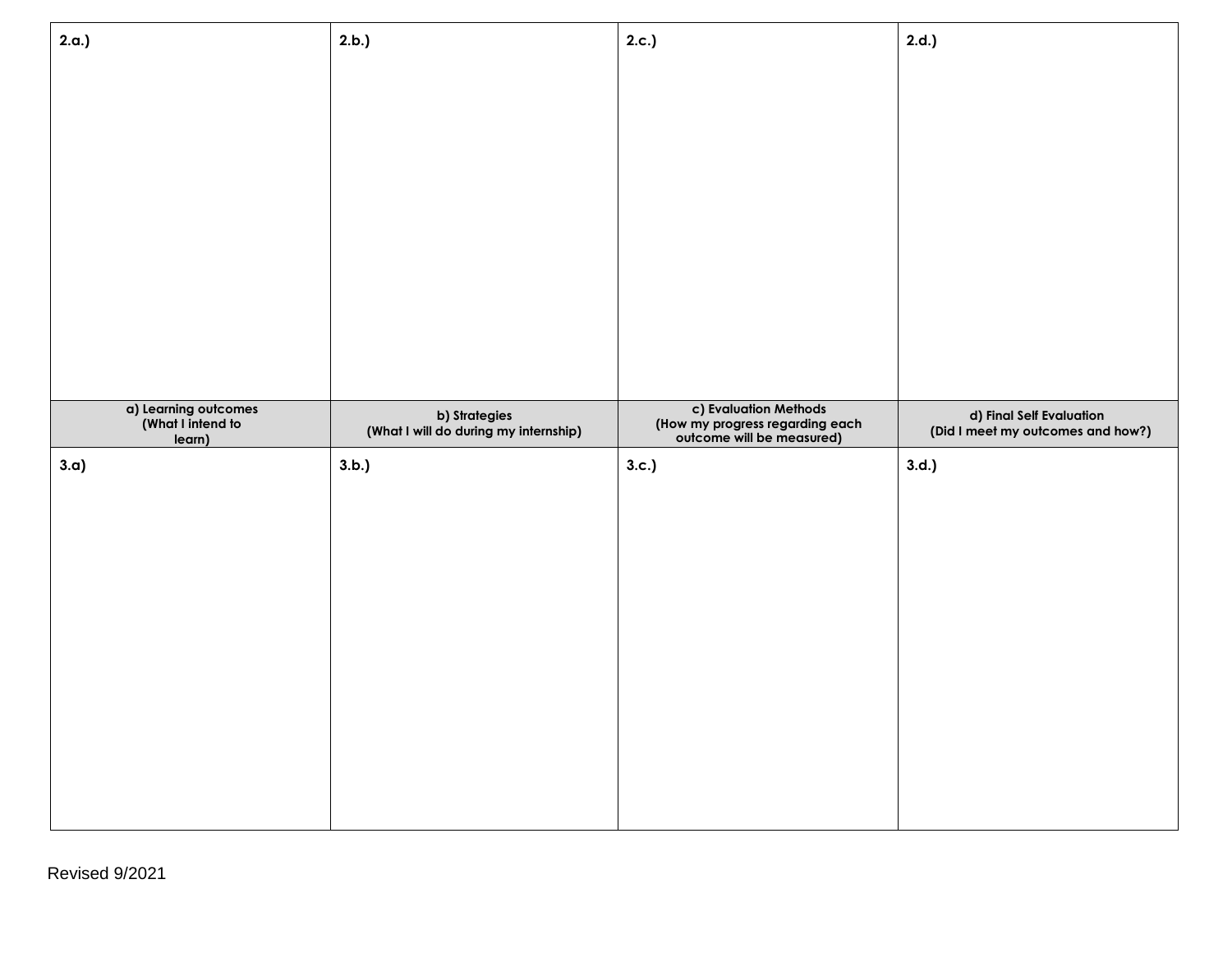| 2.b.)                                                  | 2.c.)                                                                                 | 2.d.                                                          |
|--------------------------------------------------------|---------------------------------------------------------------------------------------|---------------------------------------------------------------|
|                                                        |                                                                                       |                                                               |
|                                                        |                                                                                       |                                                               |
|                                                        |                                                                                       |                                                               |
|                                                        |                                                                                       |                                                               |
|                                                        |                                                                                       |                                                               |
|                                                        |                                                                                       |                                                               |
|                                                        |                                                                                       |                                                               |
|                                                        |                                                                                       |                                                               |
|                                                        |                                                                                       |                                                               |
| b) Strategies<br>(What I will do during my internship) | c) Evaluation Methods<br>(How my progress regarding each<br>outcome will be measured) | d) Final Self Evaluation<br>(Did I meet my outcomes and how?) |
| 3.b.)                                                  | 3.c.)                                                                                 | 3.d.                                                          |
|                                                        |                                                                                       |                                                               |
|                                                        |                                                                                       |                                                               |
|                                                        |                                                                                       |                                                               |
|                                                        |                                                                                       |                                                               |
|                                                        |                                                                                       |                                                               |
|                                                        |                                                                                       |                                                               |
|                                                        |                                                                                       |                                                               |
|                                                        |                                                                                       |                                                               |
|                                                        |                                                                                       |                                                               |
|                                                        |                                                                                       |                                                               |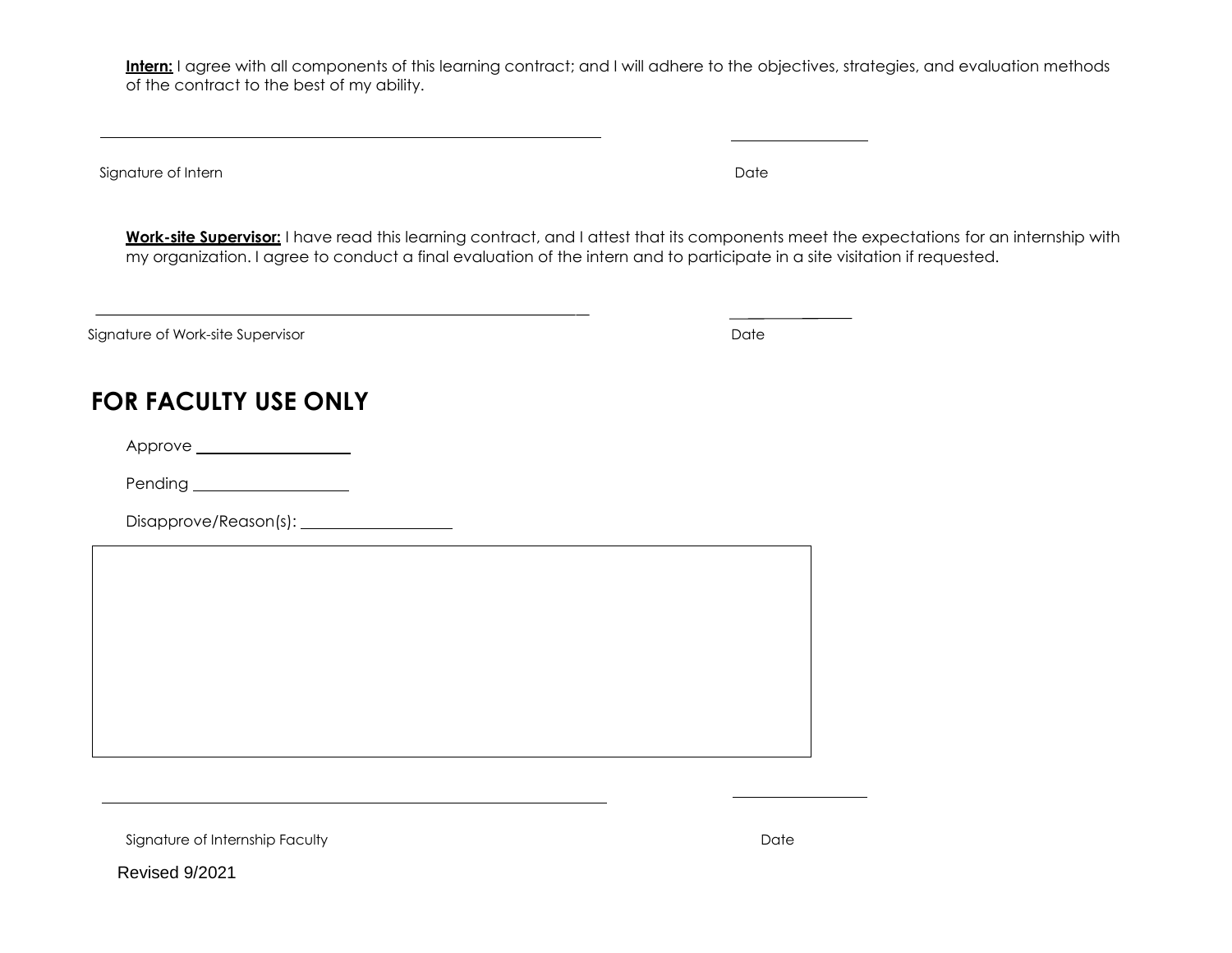Intern: I agree with all components of this learning contract; and I will adhere to the objectives, strategies, and evaluation methods of the contract to the best of my ability.

Signature of Intern Date of Secretary Materials and Date of Secretary Materials and Date of Internal Date of  $\mathbb{R}^n$ 

**Work-site Supervisor:** I have read this learning contract, and I attest that its components meet the expectations for an internship with my organization. I agree to conduct a final evaluation of the intern and to participate in a site visitation if requested.

Signature of Work-site Supervisor **Date Date Date Date Date Date Date Date Date Date Date Date Date Date Date Date Date Date Date Date Date Date Date Date Date Date Date** 

# **FOR FACULTY USE ONLY**

Approve

Pending

Disapprove/Reason(s):

Signature of Internship Faculty **Date Date of Internship Faculty Date** 

Revised 9/2021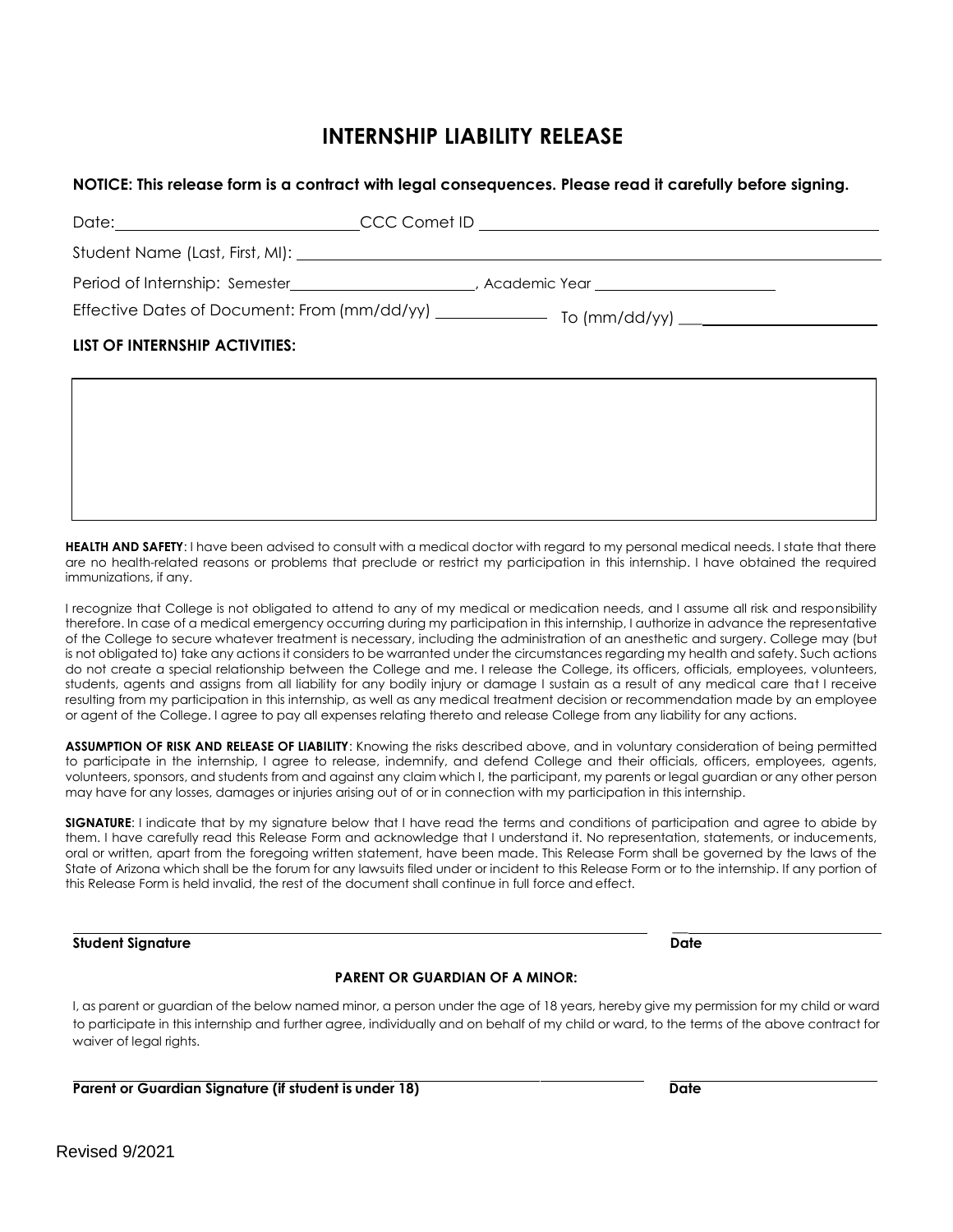### **INTERNSHIP LIABILITY RELEASE**

### **NOTICE: This release form is a contract with legal consequences. Please read it carefully before signing.**

| Date:______________________________ |                                                                                                      |
|-------------------------------------|------------------------------------------------------------------------------------------------------|
|                                     |                                                                                                      |
|                                     | Period of Internship: Semester______________________, Academic Year ________________________________ |
|                                     |                                                                                                      |
| LIST OF INTERNSHIP ACTIVITIES:      |                                                                                                      |

 **HEALTH AND SAFETY**: I have been advised to consult with a medical doctor with regard to my personal medical needs. I state that there are no health-related reasons or problems that preclude or restrict my participation in this internship. I have obtained the required immunizations, if any.

 I recognize that College is not obligated to attend to any of my medical or medication needs, and I assume all risk and responsibility therefore. In case of a medical emergency occurring during my participation in this internship, I authorize in advance the representative of the College to secure whatever treatment is necessary, including the administration of an anesthetic and surgery. College may (but is not obligated to) take any actions it considers to be warranted under the circumstances regarding my health and safety. Such actions do not create a special relationship between the College and me. I release the College, its officers, officials, employees, volunteers, students, agents and assigns from all liability for any bodily injury or damage I sustain as a result of any medical care that I receive resulting from my participation in this internship, as well as any medical treatment decision or recommendation made by an employee or agent of the College. I agree to pay all expenses relating thereto and release College from any liability for any actions.

 **ASSUMPTION OF RISK AND RELEASE OF LIABILITY**: Knowing the risks described above, and in voluntary consideration of being permitted to participate in the internship, I agree to release, indemnify, and defend College and their officials, officers, employees, agents, volunteers, sponsors, and students from and against any claim which I, the participant, my parents or legal guardian or any other person may have for any losses, damages or injuries arising out of or in connection with my participation in this internship.

 **SIGNATURE**: I indicate that by my signature below that I have read the terms and conditions of participation and agree to abide by them. I have carefully read this Release Form and acknowledge that I understand it. No representation, statements, or inducements, oral or written, apart from the foregoing written statement, have been made. This Release Form shall be governed by the laws of the State of Arizona which shall be the forum for any lawsuits filed under or incident to this Release Form or to the internship. If any portion of this Release Form is held invalid, the rest of the document shall continue in full force and effect.

#### **Student Signature Date is a student of the student of the student of the student of the Student Signature Date**

**\_\_** 

### **PARENT OR GUARDIAN OF A MINOR:**

 I, as parent or guardian of the below named minor, a person under the age of 18 years, hereby give my permission for my child or ward to participate in this internship and further agree, individually and on behalf of my child or ward, to the terms of the above contract for waiver of legal rights.

**Parent or Guardian Signature (if student is under 18) Date Constraint Construction Construction Construction Construction Construction Construction Construction Construction Construction Construction Construction Construc**